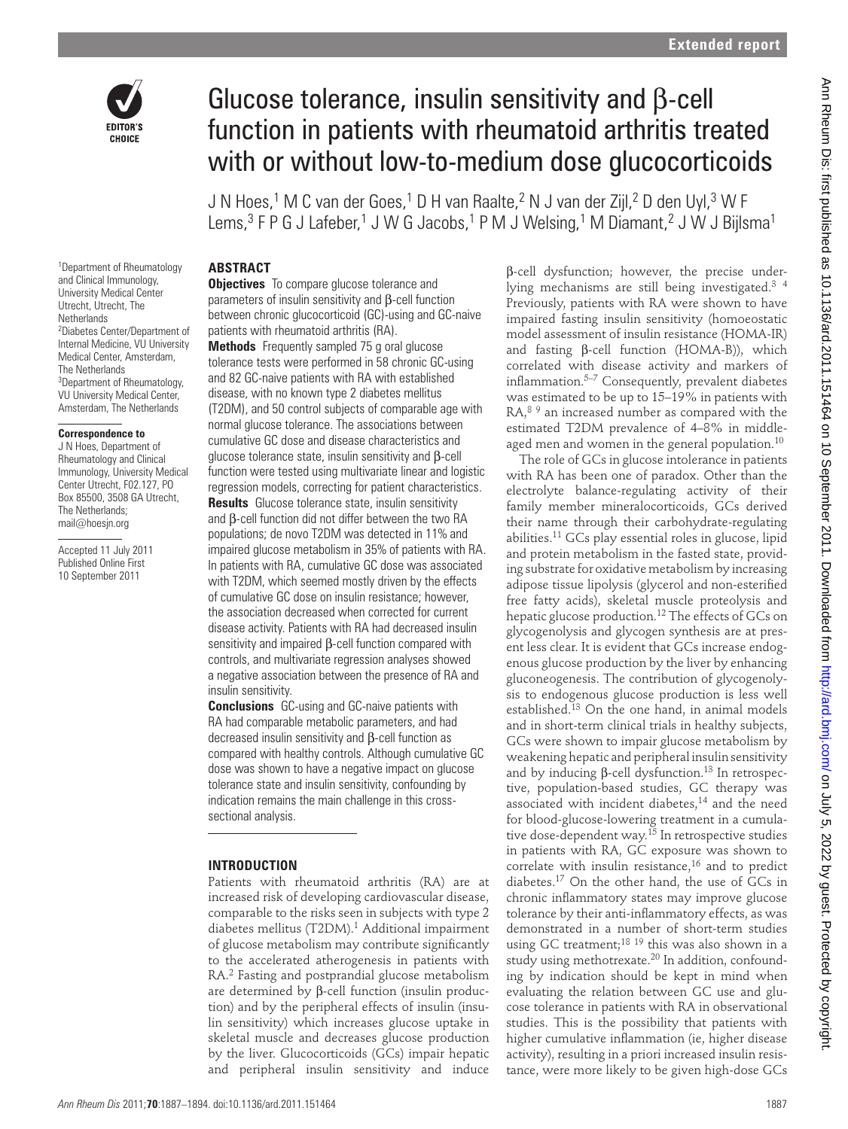

# Glucose tolerance, insulin sensitivity and β-cell function in patients with rheumatoid arthritis treated with or without low-to-medium dose glucocorticoids

J N Hoes,<sup>1</sup> M C van der Goes,<sup>1</sup> D H van Raalte,<sup>2</sup> N J van der Zijl,<sup>2</sup> D den Uyl,<sup>3</sup> W F Lems,<sup>3</sup> F P G J Lafeber,<sup>1</sup> J W G Jacobs,<sup>1</sup> P M J Welsing,<sup>1</sup> M Diamant,<sup>2</sup> J W J Bijlsma<sup>1</sup>

1 Department of Rheumatology and Clinical Immunology, University Medical Center Utrecht, Utrecht, The **Netherlands** 2 Diabetes Center/Department of Internal Medicine, VU University Medical Center, Amsterdam, The Netherlands <sup>3</sup>Department of Rheumatology, VU University Medical Center, Amsterdam, The Netherlands

#### **Correspondence to**

 J N Hoes, Department of Rheumatology and Clinical Immunology, University Medical Center Utrecht, F02.127, PO Box 85500, 3508 GA Utrecht, The Netherlands; mail@hoesjn.org

Accepted 11 July 2011 Published Online First 10 September 2011

#### **ABSTRACT**

**Objectives** To compare glucose tolerance and parameters of insulin sensitivity and β-cell function between chronic glucocorticoid (GC)-using and GC-naive patients with rheumatoid arthritis (RA).

 **Methods** Frequently sampled 75 g oral glucose tolerance tests were performed in 58 chronic GC-using and 82 GC-naive patients with RA with established disease, with no known type 2 diabetes mellitus (T2DM), and 50 control subjects of comparable age with normal glucose tolerance. The associations between cumulative GC dose and disease characteristics and glucose tolerance state, insulin sensitivity and β-cell function were tested using multivariate linear and logistic regression models, correcting for patient characteristics.

 **Results** Glucose tolerance state, insulin sensitivity and β-cell function did not differ between the two RA populations; de novo T2DM was detected in 11% and impaired glucose metabolism in 35% of patients with RA. In patients with RA, cumulative GC dose was associated with T2DM, which seemed mostly driven by the effects of cumulative GC dose on insulin resistance; however, the association decreased when corrected for current disease activity. Patients with RA had decreased insulin sensitivity and impaired β-cell function compared with controls, and multivariate regression analyses showed a negative association between the presence of RA and insulin sensitivity.

 **Conclusions** GC-using and GC-naive patients with RA had comparable metabolic parameters, and had decreased insulin sensitivity and β-cell function as compared with healthy controls. Although cumulative GC dose was shown to have a negative impact on glucose tolerance state and insulin sensitivity, confounding by indication remains the main challenge in this crosssectional analysis.

#### **INTRODUCTION**

Patients with rheumatoid arthritis (RA) are at increased risk of developing cardiovascular disease, comparable to the risks seen in subjects with type 2 diabetes mellitus  $(T2DM)$ .<sup>1</sup> Additional impairment of glucose metabolism may contribute significantly to the accelerated atherogenesis in patients with RA.<sup>2</sup> Fasting and postprandial glucose metabolism are determined by β-cell function (insulin production) and by the peripheral effects of insulin (insulin sensitivity) which increases glucose uptake in skeletal muscle and decreases glucose production by the liver. Glucocorticoids (GCs) impair hepatic and peripheral insulin sensitivity and induce

β-cell dysfunction; however, the precise underlying mechanisms are still being investigated.<sup>3</sup> <sup>4</sup> Previously, patients with RA were shown to have impaired fasting insulin sensitivity (homoeostatic model assessment of insulin resistance (HOMA-IR) and fasting β-cell function (HOMA-B)), which correlated with disease activity and markers of inflammation. $5-7$  Consequently, prevalent diabetes was estimated to be up to 15–19% in patients with RA,<sup>89</sup> an increased number as compared with the estimated T2DM prevalence of 4–8% in middleaged men and women in the general population. 10

The role of GCs in glucose intolerance in patients with RA has been one of paradox. Other than the electrolyte balance-regulating activity of their family member mineralocorticoids, GCs derived their name through their carbohydrate-regulating abilities. 11 GCs play essential roles in glucose, lipid and protein metabolism in the fasted state, providing substrate for oxidative metabolism by increasing adipose tissue lipolysis (glycerol and non-esterified free fatty acids), skeletal muscle proteolysis and hepatic glucose production. 12 The effects of GCs on glycogenolysis and glycogen synthesis are at present less clear. It is evident that GCs increase endogenous glucose production by the liver by enhancing gluconeogenesis. The contribution of glycogenolysis to endogenous glucose production is less well established.<sup>13</sup> On the one hand, in animal models and in short-term clinical trials in healthy subjects, GCs were shown to impair glucose metabolism by weakening hepatic and peripheral insulin sensitivity and by inducing β-cell dysfunction.<sup>13</sup> In retrospective, population-based studies, GC therapy was associated with incident diabetes, 14 and the need for blood-glucose-lowering treatment in a cumulative dose-dependent way.<sup>15</sup> In retrospective studies in patients with RA, GC exposure was shown to correlate with insulin resistance,<sup>16</sup> and to predict diabetes. 17 On the other hand, the use of GCs in chronic inflammatory states may improve glucose tolerance by their anti-inflammatory effects, as was demonstrated in a number of short-term studies using GC treatment;<sup>18 19</sup> this was also shown in a study using methotrexate.<sup>20</sup> In addition, confounding by indication should be kept in mind when evaluating the relation between GC use and glucose tolerance in patients with RA in observational studies. This is the possibility that patients with higher cumulative inflammation (ie, higher disease activity), resulting in a priori increased insulin resistance, were more likely to be given high-dose GCs Gluceose tolerance, insulin sensitivity and B-cell<br>
until in patients with the numerical artistic sensitive interactions<br>
AM on Marke 1982 9/23/2011 11:38:08 AM on The Samuel Constraints are also as 10.12 of the NA on The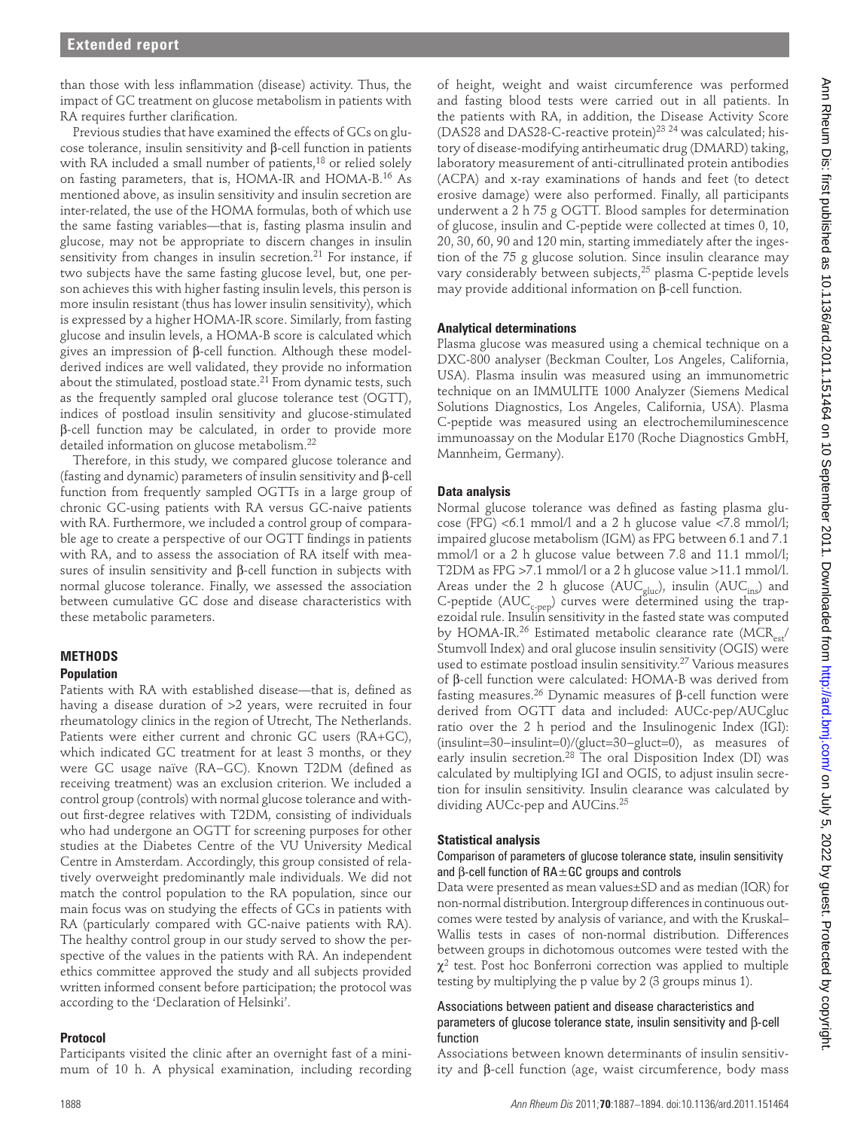than those with less inflammation (disease) activity. Thus, the impact of GC treatment on glucose metabolism in patients with RA requires further clarification.

Previous studies that have examined the effects of GCs on glucose tolerance, insulin sensitivity and β-cell function in patients with RA included a small number of patients, 18 or relied solely on fasting parameters, that is, HOMA-IR and HOMA-B.<sup>16</sup> As mentioned above, as insulin sensitivity and insulin secretion are inter-related, the use of the HOMA formulas, both of which use the same fasting variables—that is, fasting plasma insulin and glucose, may not be appropriate to discern changes in insulin sensitivity from changes in insulin secretion.<sup>21</sup> For instance, if two subjects have the same fasting glucose level, but, one person achieves this with higher fasting insulin levels, this person is more insulin resistant (thus has lower insulin sensitivity), which is expressed by a higher HOMA-IR score. Similarly, from fasting glucose and insulin levels, a HOMA-B score is calculated which gives an impression of β-cell function. Although these modelderived indices are well validated, they provide no information about the stimulated, postload state.<sup>21</sup> From dynamic tests, such as the frequently sampled oral glucose tolerance test (OGTT), indices of postload insulin sensitivity and glucose-stimulated β-cell function may be calculated, in order to provide more detailed information on glucose metabolism. 22 No.13 and the material control of the state of the state of the state of the state of the state of the state of the state of the state of the state of the state of the state of the state of the state of the state of the st

Therefore, in this study, we compared glucose tolerance and (fasting and dynamic) parameters of insulin sensitivity and β-cell function from frequently sampled OGTTs in a large group of chronic GC-using patients with RA versus GC-naive patients with RA. Furthermore, we included a control group of comparable age to create a perspective of our OGTT findings in patients with RA, and to assess the association of RA itself with measures of insulin sensitivity and β-cell function in subjects with normal glucose tolerance. Finally, we assessed the association between cumulative GC dose and disease characteristics with these metabolic parameters.

# **METHODS**

# **Population**

Patients with RA with established disease—that is, defined as having a disease duration of >2 years, were recruited in four rheumatology clinics in the region of Utrecht, The Netherlands. Patients were either current and chronic GC users (RA+GC), which indicated GC treatment for at least 3 months, or they were GC usage naïve (RA-GC). Known T2DM (defined as receiving treatment) was an exclusion criterion. We included a control group (controls) with normal glucose tolerance and without first-degree relatives with T2DM, consisting of individuals who had undergone an OGTT for screening purposes for other studies at the Diabetes Centre of the VU University Medical Centre in Amsterdam. Accordingly, this group consisted of relatively overweight predominantly male individuals. We did not match the control population to the RA population, since our main focus was on studying the effects of GCs in patients with RA (particularly compared with GC-naive patients with RA). The healthy control group in our study served to show the perspective of the values in the patients with RA. An independent ethics committee approved the study and all subjects provided written informed consent before participation; the protocol was according to the 'Declaration of Helsinki'.

#### **Protocol**

Participants visited the clinic after an overnight fast of a minimum of 10 h. A physical examination, including recording

of height, weight and waist circumference was performed and fasting blood tests were carried out in all patients. In the patients with RA, in addition, the Disease Activity Score (DAS28 and DAS28-C-reactive protein)<sup>23</sup> <sup>24</sup> was calculated; history of disease-modifying antirheumatic drug (DMARD) taking, laboratory measurement of anti-citrullinated protein antibodies (ACPA) and x-ray examinations of hands and feet (to detect erosive damage) were also performed. Finally, all participants underwent a 2 h 75 g OGTT. Blood samples for determination of glucose, insulin and C-peptide were collected at times 0, 10, 20, 30, 60, 90 and 120 min, starting immediately after the ingestion of the 75 g glucose solution. Since insulin clearance may vary considerably between subjects, 25 plasma C-peptide levels may provide additional information on β-cell function.

#### **Analytical determinations**

Plasma glucose was measured using a chemical technique on a DXC-800 analyser (Beckman Coulter, Los Angeles, California, USA). Plasma insulin was measured using an immunometric technique on an IMMULITE 1000 Analyzer (Siemens Medical Solutions Diagnostics, Los Angeles, California, USA). Plasma C-peptide was measured using an electrochemiluminescence immunoassay on the Modular E170 (Roche Diagnostics GmbH, Mannheim, Germany).

#### **Data analysis**

Normal glucose tolerance was defined as fasting plasma glucose (FPG) <6.1 mmol/l and a 2 h glucose value <7.8 mmol/l; impaired glucose metabolism (IGM) as FPG between 6.1 and 7.1 mmol/l or a 2 h glucose value between 7.8 and 11.1 mmol/l; T2DM as FPG >7.1 mmol/l or a 2 h glucose value >11.1 mmol/l. Areas under the 2 h glucose ( $AUC_{gluc}$ ), insulin ( $AUC_{ins}$ ) and C-peptide ( $AUC_{\text{c-pep}}$ ) curves were determined using the trapezoidal rule. Insulin sensitivity in the fasted state was computed by HOMA-IR.<sup>26</sup> Estimated metabolic clearance rate (MCR<sub>est</sub>/ Stumvoll Index) and oral glucose insulin sensitivity (OGIS) were used to estimate postload insulin sensitivity. $27$  Various measures of β-cell function were calculated: HOMA-B was derived from fasting measures.<sup>26</sup> Dynamic measures of β-cell function were derived from OGTT data and included: AUCc-pep/AUCgluc ratio over the 2 h period and the Insulinogenic Index (IGI): (insulint=30−insulint=0)/(gluct=30−gluct=0), as measures of early insulin secretion.<sup>28</sup> The oral Disposition Index (DI) was calculated by multiplying IGI and OGIS, to adjust insulin secretion for insulin sensitivity. Insulin clearance was calculated by dividing AUCc-pep and AUCins. 25

#### **Statistical analysis**

#### Comparison of parameters of glucose tolerance state, insulin sensitivity and β-cell function of  $RA \pm GC$  groups and controls

Data were presented as mean values±SD and as median (IQR) for non-normal distribution. Intergroup differences in continuous outcomes were tested by analysis of variance, and with the Kruskal– Wallis tests in cases of non-normal distribution. Differences between groups in dichotomous outcomes were tested with the  $\chi^2$  test. Post hoc Bonferroni correction was applied to multiple testing by multiplying the p value by 2 (3 groups minus 1).

# Associations between patient and disease characteristics and parameters of glucose tolerance state, insulin sensitivity and β-cell function

Associations between known determinants of insulin sensitivity and β-cell function (age, waist circumference, body mass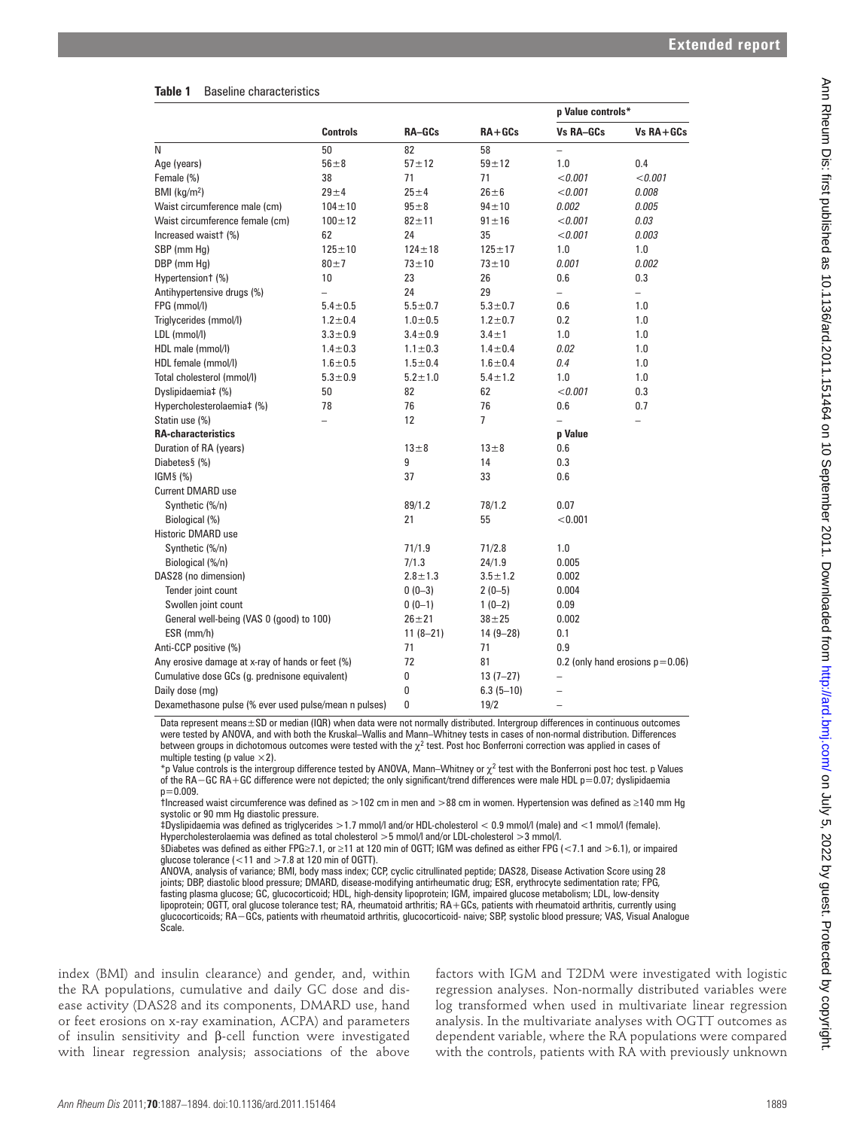| <b>Baseline characteristics</b><br>Table 1 |  |
|--------------------------------------------|--|
|--------------------------------------------|--|

|                                                                                                                                                                                                                                                                                                                                                                                                                                                                                                                                                                                                                                                                                                                                                                                                                                                                                                                                                                                                                                                                                                                                                                                                                                                                                                                                                                                                                                                                                                                                                                                                                                                                                                                                                                                                                                                                                                                                              |                                |                     |                              | p Value controls*                             |                                                                                                                                                                                                                                                                                                                        |
|----------------------------------------------------------------------------------------------------------------------------------------------------------------------------------------------------------------------------------------------------------------------------------------------------------------------------------------------------------------------------------------------------------------------------------------------------------------------------------------------------------------------------------------------------------------------------------------------------------------------------------------------------------------------------------------------------------------------------------------------------------------------------------------------------------------------------------------------------------------------------------------------------------------------------------------------------------------------------------------------------------------------------------------------------------------------------------------------------------------------------------------------------------------------------------------------------------------------------------------------------------------------------------------------------------------------------------------------------------------------------------------------------------------------------------------------------------------------------------------------------------------------------------------------------------------------------------------------------------------------------------------------------------------------------------------------------------------------------------------------------------------------------------------------------------------------------------------------------------------------------------------------------------------------------------------------|--------------------------------|---------------------|------------------------------|-----------------------------------------------|------------------------------------------------------------------------------------------------------------------------------------------------------------------------------------------------------------------------------------------------------------------------------------------------------------------------|
|                                                                                                                                                                                                                                                                                                                                                                                                                                                                                                                                                                                                                                                                                                                                                                                                                                                                                                                                                                                                                                                                                                                                                                                                                                                                                                                                                                                                                                                                                                                                                                                                                                                                                                                                                                                                                                                                                                                                              | <b>Controls</b>                | RA-GCs              | $RA+GCs$                     | Vs RA-GCs                                     | $Vs RA+GCs$                                                                                                                                                                                                                                                                                                            |
| N                                                                                                                                                                                                                                                                                                                                                                                                                                                                                                                                                                                                                                                                                                                                                                                                                                                                                                                                                                                                                                                                                                                                                                                                                                                                                                                                                                                                                                                                                                                                                                                                                                                                                                                                                                                                                                                                                                                                            | 50                             | 82                  | 58                           | $\overline{\phantom{m}}$                      |                                                                                                                                                                                                                                                                                                                        |
| Age (years)                                                                                                                                                                                                                                                                                                                                                                                                                                                                                                                                                                                                                                                                                                                                                                                                                                                                                                                                                                                                                                                                                                                                                                                                                                                                                                                                                                                                                                                                                                                                                                                                                                                                                                                                                                                                                                                                                                                                  | $56\pm8$                       | $57 + 12$           | $59\pm12$                    | 1.0                                           | 0.4                                                                                                                                                                                                                                                                                                                    |
| Female (%)                                                                                                                                                                                                                                                                                                                                                                                                                                                                                                                                                                                                                                                                                                                                                                                                                                                                                                                                                                                                                                                                                                                                                                                                                                                                                                                                                                                                                                                                                                                                                                                                                                                                                                                                                                                                                                                                                                                                   | 38                             | 71                  | 71                           | < 0.001                                       | < 0.001                                                                                                                                                                                                                                                                                                                |
| BMI ( $kg/m2$ )                                                                                                                                                                                                                                                                                                                                                                                                                                                                                                                                                                                                                                                                                                                                                                                                                                                                                                                                                                                                                                                                                                                                                                                                                                                                                                                                                                                                                                                                                                                                                                                                                                                                                                                                                                                                                                                                                                                              | $29 + 4$                       | $25 + 4$            | $26 \pm 6$                   | < 0.001                                       | 0.008                                                                                                                                                                                                                                                                                                                  |
| Waist circumference male (cm)                                                                                                                                                                                                                                                                                                                                                                                                                                                                                                                                                                                                                                                                                                                                                                                                                                                                                                                                                                                                                                                                                                                                                                                                                                                                                                                                                                                                                                                                                                                                                                                                                                                                                                                                                                                                                                                                                                                | $104 \pm 10$                   | $95 + 8$            | $94 + 10$                    | 0.002                                         | 0.005                                                                                                                                                                                                                                                                                                                  |
| Waist circumference female (cm)                                                                                                                                                                                                                                                                                                                                                                                                                                                                                                                                                                                                                                                                                                                                                                                                                                                                                                                                                                                                                                                                                                                                                                                                                                                                                                                                                                                                                                                                                                                                                                                                                                                                                                                                                                                                                                                                                                              | $100 \pm 12$                   | $82 + 11$           | $91 \pm 16$                  | < 0.001                                       | 0.03                                                                                                                                                                                                                                                                                                                   |
| Increased waist† (%)                                                                                                                                                                                                                                                                                                                                                                                                                                                                                                                                                                                                                                                                                                                                                                                                                                                                                                                                                                                                                                                                                                                                                                                                                                                                                                                                                                                                                                                                                                                                                                                                                                                                                                                                                                                                                                                                                                                         | 62                             | 24                  | 35                           | < 0.001                                       | 0.003                                                                                                                                                                                                                                                                                                                  |
| SBP (mm Hq)                                                                                                                                                                                                                                                                                                                                                                                                                                                                                                                                                                                                                                                                                                                                                                                                                                                                                                                                                                                                                                                                                                                                                                                                                                                                                                                                                                                                                                                                                                                                                                                                                                                                                                                                                                                                                                                                                                                                  | $125 \pm 10$                   | $124 \pm 18$        | $125 \pm 17$                 | 1.0                                           | 1.0                                                                                                                                                                                                                                                                                                                    |
| DBP (mm Hg)                                                                                                                                                                                                                                                                                                                                                                                                                                                                                                                                                                                                                                                                                                                                                                                                                                                                                                                                                                                                                                                                                                                                                                                                                                                                                                                                                                                                                                                                                                                                                                                                                                                                                                                                                                                                                                                                                                                                  | $80 + 7$                       | $73 + 10$           | $73 + 10$                    | 0.001                                         | 0.002                                                                                                                                                                                                                                                                                                                  |
| Hypertensiont (%)                                                                                                                                                                                                                                                                                                                                                                                                                                                                                                                                                                                                                                                                                                                                                                                                                                                                                                                                                                                                                                                                                                                                                                                                                                                                                                                                                                                                                                                                                                                                                                                                                                                                                                                                                                                                                                                                                                                            | 10                             | 23                  | 26                           | 0.6                                           | 0.3                                                                                                                                                                                                                                                                                                                    |
| Antihypertensive drugs (%)                                                                                                                                                                                                                                                                                                                                                                                                                                                                                                                                                                                                                                                                                                                                                                                                                                                                                                                                                                                                                                                                                                                                                                                                                                                                                                                                                                                                                                                                                                                                                                                                                                                                                                                                                                                                                                                                                                                   | $\overline{\phantom{0}}$       | 24<br>$5.5 \pm 0.7$ | 29                           | $\overline{\phantom{0}}$<br>0.6               | $\overline{\phantom{0}}$                                                                                                                                                                                                                                                                                               |
| FPG (mmol/l)<br>Triglycerides (mmol/l)                                                                                                                                                                                                                                                                                                                                                                                                                                                                                                                                                                                                                                                                                                                                                                                                                                                                                                                                                                                                                                                                                                                                                                                                                                                                                                                                                                                                                                                                                                                                                                                                                                                                                                                                                                                                                                                                                                       | $5.4 \pm 0.5$<br>$1.2 \pm 0.4$ | $1.0 + 0.5$         | $5.3 \pm 0.7$<br>$1.2 + 0.7$ | 0.2                                           | 1.0<br>1.0                                                                                                                                                                                                                                                                                                             |
| LDL (mmol/l)                                                                                                                                                                                                                                                                                                                                                                                                                                                                                                                                                                                                                                                                                                                                                                                                                                                                                                                                                                                                                                                                                                                                                                                                                                                                                                                                                                                                                                                                                                                                                                                                                                                                                                                                                                                                                                                                                                                                 | $3.3 \pm 0.9$                  | $3.4 \pm 0.9$       | $3.4 \pm 1$                  | 1.0                                           | 1.0                                                                                                                                                                                                                                                                                                                    |
| HDL male (mmol/l)                                                                                                                                                                                                                                                                                                                                                                                                                                                                                                                                                                                                                                                                                                                                                                                                                                                                                                                                                                                                                                                                                                                                                                                                                                                                                                                                                                                                                                                                                                                                                                                                                                                                                                                                                                                                                                                                                                                            | $1.4 \pm 0.3$                  | $1.1 \pm 0.3$       | $1.4 \pm 0.4$                | 0.02                                          | 1.0                                                                                                                                                                                                                                                                                                                    |
| HDL female (mmol/l)                                                                                                                                                                                                                                                                                                                                                                                                                                                                                                                                                                                                                                                                                                                                                                                                                                                                                                                                                                                                                                                                                                                                                                                                                                                                                                                                                                                                                                                                                                                                                                                                                                                                                                                                                                                                                                                                                                                          | $1.6 + 0.5$                    | $1.5 + 0.4$         | $1.6 + 0.4$                  | 0.4                                           | 1.0                                                                                                                                                                                                                                                                                                                    |
| Total cholesterol (mmol/l)                                                                                                                                                                                                                                                                                                                                                                                                                                                                                                                                                                                                                                                                                                                                                                                                                                                                                                                                                                                                                                                                                                                                                                                                                                                                                                                                                                                                                                                                                                                                                                                                                                                                                                                                                                                                                                                                                                                   | $5.3 \pm 0.9$                  | $5.2 \pm 1.0$       | $5.4 \pm 1.2$                | 1.0                                           | 1.0                                                                                                                                                                                                                                                                                                                    |
| Dyslipidaemia‡ (%)                                                                                                                                                                                                                                                                                                                                                                                                                                                                                                                                                                                                                                                                                                                                                                                                                                                                                                                                                                                                                                                                                                                                                                                                                                                                                                                                                                                                                                                                                                                                                                                                                                                                                                                                                                                                                                                                                                                           | 50                             | 82                  | 62                           | < 0.001                                       | 0.3                                                                                                                                                                                                                                                                                                                    |
| Hypercholesterolaemia‡ (%)                                                                                                                                                                                                                                                                                                                                                                                                                                                                                                                                                                                                                                                                                                                                                                                                                                                                                                                                                                                                                                                                                                                                                                                                                                                                                                                                                                                                                                                                                                                                                                                                                                                                                                                                                                                                                                                                                                                   | 78                             | 76                  | 76                           | 0.6                                           | 0.7                                                                                                                                                                                                                                                                                                                    |
| Statin use (%)                                                                                                                                                                                                                                                                                                                                                                                                                                                                                                                                                                                                                                                                                                                                                                                                                                                                                                                                                                                                                                                                                                                                                                                                                                                                                                                                                                                                                                                                                                                                                                                                                                                                                                                                                                                                                                                                                                                               | L.                             | 12                  | $\overline{7}$               | $\equiv$                                      |                                                                                                                                                                                                                                                                                                                        |
| <b>RA-characteristics</b>                                                                                                                                                                                                                                                                                                                                                                                                                                                                                                                                                                                                                                                                                                                                                                                                                                                                                                                                                                                                                                                                                                                                                                                                                                                                                                                                                                                                                                                                                                                                                                                                                                                                                                                                                                                                                                                                                                                    |                                |                     |                              | p Value                                       |                                                                                                                                                                                                                                                                                                                        |
| Duration of RA (years)                                                                                                                                                                                                                                                                                                                                                                                                                                                                                                                                                                                                                                                                                                                                                                                                                                                                                                                                                                                                                                                                                                                                                                                                                                                                                                                                                                                                                                                                                                                                                                                                                                                                                                                                                                                                                                                                                                                       |                                | $13\pm8$            | $13 \pm 8$                   | 0.6                                           |                                                                                                                                                                                                                                                                                                                        |
| Diabetes§ (%)                                                                                                                                                                                                                                                                                                                                                                                                                                                                                                                                                                                                                                                                                                                                                                                                                                                                                                                                                                                                                                                                                                                                                                                                                                                                                                                                                                                                                                                                                                                                                                                                                                                                                                                                                                                                                                                                                                                                |                                | 9                   | 14                           | 0.3                                           |                                                                                                                                                                                                                                                                                                                        |
| IGM§ (%)                                                                                                                                                                                                                                                                                                                                                                                                                                                                                                                                                                                                                                                                                                                                                                                                                                                                                                                                                                                                                                                                                                                                                                                                                                                                                                                                                                                                                                                                                                                                                                                                                                                                                                                                                                                                                                                                                                                                     |                                | 37                  | 33                           | 0.6                                           |                                                                                                                                                                                                                                                                                                                        |
| Current DMARD use                                                                                                                                                                                                                                                                                                                                                                                                                                                                                                                                                                                                                                                                                                                                                                                                                                                                                                                                                                                                                                                                                                                                                                                                                                                                                                                                                                                                                                                                                                                                                                                                                                                                                                                                                                                                                                                                                                                            |                                |                     |                              |                                               |                                                                                                                                                                                                                                                                                                                        |
| Synthetic (%/n)                                                                                                                                                                                                                                                                                                                                                                                                                                                                                                                                                                                                                                                                                                                                                                                                                                                                                                                                                                                                                                                                                                                                                                                                                                                                                                                                                                                                                                                                                                                                                                                                                                                                                                                                                                                                                                                                                                                              |                                | 89/1.2              | 78/1.2                       | 0.07                                          |                                                                                                                                                                                                                                                                                                                        |
| Biological (%)                                                                                                                                                                                                                                                                                                                                                                                                                                                                                                                                                                                                                                                                                                                                                                                                                                                                                                                                                                                                                                                                                                                                                                                                                                                                                                                                                                                                                                                                                                                                                                                                                                                                                                                                                                                                                                                                                                                               |                                | 21                  | 55                           | < 0.001                                       |                                                                                                                                                                                                                                                                                                                        |
| Historic DMARD use                                                                                                                                                                                                                                                                                                                                                                                                                                                                                                                                                                                                                                                                                                                                                                                                                                                                                                                                                                                                                                                                                                                                                                                                                                                                                                                                                                                                                                                                                                                                                                                                                                                                                                                                                                                                                                                                                                                           |                                |                     |                              |                                               |                                                                                                                                                                                                                                                                                                                        |
| Synthetic (%/n)                                                                                                                                                                                                                                                                                                                                                                                                                                                                                                                                                                                                                                                                                                                                                                                                                                                                                                                                                                                                                                                                                                                                                                                                                                                                                                                                                                                                                                                                                                                                                                                                                                                                                                                                                                                                                                                                                                                              |                                | 71/1.9              | 71/2.8                       | 1.0                                           |                                                                                                                                                                                                                                                                                                                        |
| Biological (%/n)                                                                                                                                                                                                                                                                                                                                                                                                                                                                                                                                                                                                                                                                                                                                                                                                                                                                                                                                                                                                                                                                                                                                                                                                                                                                                                                                                                                                                                                                                                                                                                                                                                                                                                                                                                                                                                                                                                                             |                                | 7/1.3               | 24/1.9                       | 0.005                                         |                                                                                                                                                                                                                                                                                                                        |
| DAS28 (no dimension)                                                                                                                                                                                                                                                                                                                                                                                                                                                                                                                                                                                                                                                                                                                                                                                                                                                                                                                                                                                                                                                                                                                                                                                                                                                                                                                                                                                                                                                                                                                                                                                                                                                                                                                                                                                                                                                                                                                         |                                | $2.8 \pm 1.3$       | $3.5 \pm 1.2$                | 0.002                                         |                                                                                                                                                                                                                                                                                                                        |
| Tender joint count                                                                                                                                                                                                                                                                                                                                                                                                                                                                                                                                                                                                                                                                                                                                                                                                                                                                                                                                                                                                                                                                                                                                                                                                                                                                                                                                                                                                                                                                                                                                                                                                                                                                                                                                                                                                                                                                                                                           |                                | $0(0-3)$            | $2(0-5)$                     | 0.004                                         |                                                                                                                                                                                                                                                                                                                        |
| Swollen joint count                                                                                                                                                                                                                                                                                                                                                                                                                                                                                                                                                                                                                                                                                                                                                                                                                                                                                                                                                                                                                                                                                                                                                                                                                                                                                                                                                                                                                                                                                                                                                                                                                                                                                                                                                                                                                                                                                                                          |                                | $0(0-1)$            | $1(0-2)$                     | 0.09                                          |                                                                                                                                                                                                                                                                                                                        |
| General well-being (VAS 0 (good) to 100)                                                                                                                                                                                                                                                                                                                                                                                                                                                                                                                                                                                                                                                                                                                                                                                                                                                                                                                                                                                                                                                                                                                                                                                                                                                                                                                                                                                                                                                                                                                                                                                                                                                                                                                                                                                                                                                                                                     |                                | $26 + 21$           | $38 \pm 25$                  | 0.002                                         |                                                                                                                                                                                                                                                                                                                        |
| ESR (mm/h)                                                                                                                                                                                                                                                                                                                                                                                                                                                                                                                                                                                                                                                                                                                                                                                                                                                                                                                                                                                                                                                                                                                                                                                                                                                                                                                                                                                                                                                                                                                                                                                                                                                                                                                                                                                                                                                                                                                                   |                                | $11(8-21)$          | $14(9 - 28)$                 | 0.1                                           |                                                                                                                                                                                                                                                                                                                        |
| Anti-CCP positive (%)                                                                                                                                                                                                                                                                                                                                                                                                                                                                                                                                                                                                                                                                                                                                                                                                                                                                                                                                                                                                                                                                                                                                                                                                                                                                                                                                                                                                                                                                                                                                                                                                                                                                                                                                                                                                                                                                                                                        |                                | 71                  | 71                           | 0.9                                           |                                                                                                                                                                                                                                                                                                                        |
| Any erosive damage at x-ray of hands or feet (%)                                                                                                                                                                                                                                                                                                                                                                                                                                                                                                                                                                                                                                                                                                                                                                                                                                                                                                                                                                                                                                                                                                                                                                                                                                                                                                                                                                                                                                                                                                                                                                                                                                                                                                                                                                                                                                                                                             |                                | 72                  | 81                           |                                               | 0.2 (only hand erosions $p=0.06$ )                                                                                                                                                                                                                                                                                     |
| Cumulative dose GCs (g. prednisone equivalent)                                                                                                                                                                                                                                                                                                                                                                                                                                                                                                                                                                                                                                                                                                                                                                                                                                                                                                                                                                                                                                                                                                                                                                                                                                                                                                                                                                                                                                                                                                                                                                                                                                                                                                                                                                                                                                                                                               |                                | 0<br>$\mathbf 0$    | $13(7-27)$<br>$6.3(5-10)$    | $\qquad \qquad -$<br>$\overline{\phantom{0}}$ |                                                                                                                                                                                                                                                                                                                        |
| Daily dose (mg)<br>Dexamethasone pulse (% ever used pulse/mean n pulses)                                                                                                                                                                                                                                                                                                                                                                                                                                                                                                                                                                                                                                                                                                                                                                                                                                                                                                                                                                                                                                                                                                                                                                                                                                                                                                                                                                                                                                                                                                                                                                                                                                                                                                                                                                                                                                                                     |                                | 0                   | 19/2                         | $\qquad \qquad -$                             |                                                                                                                                                                                                                                                                                                                        |
| were tested by ANOVA, and with both the Kruskal-Wallis and Mann-Whitney tests in cases of non-normal distribution. Differences<br>between groups in dichotomous outcomes were tested with the $\chi^2$ test. Post hoc Bonferroni correction was applied in cases of<br>multiple testing (p value $\times$ 2).<br>*p Value controls is the intergroup difference tested by ANOVA, Mann-Whitney or $\chi^2$ test with the Bonferroni post hoc test. p Values<br>of the RA $-$ GC RA+GC difference were not depicted; the only significant/trend differences were male HDL $p=0.07$ ; dyslipidaemia<br>$p = 0.009$ .<br>t Increased waist circumference was defined as $>102$ cm in men and $>88$ cm in women. Hypertension was defined as $\geq 140$ mm Hg<br>systolic or 90 mm Hg diastolic pressure.<br>‡Dyslipidaemia was defined as triglycerides >1.7 mmol/l and/or HDL-cholesterol < 0.9 mmol/l (male) and <1 mmol/l (female).<br>Hypercholesterolaemia was defined as total cholesterol >5 mmol/l and/or LDL-cholesterol >3 mmol/l.<br>§Diabetes was defined as either FPG≥7.1, or ≥11 at 120 min of OGTT; IGM was defined as either FPG (<7.1 and >6.1), or impaired<br>glucose tolerance $\left($ < 11 and > 7.8 at 120 min of OGTT).<br>ANOVA, analysis of variance; BMI, body mass index; CCP, cyclic citrullinated peptide; DAS28, Disease Activation Score using 28<br>joints; DBP, diastolic blood pressure; DMARD, disease-modifying antirheumatic drug; ESR, erythrocyte sedimentation rate; FPG,<br>fasting plasma glucose; GC, glucocorticoid; HDL, high-density lipoprotein; IGM, impaired glucose metabolism; LDL, low-density<br>lipoprotein; OGTT, oral glucose tolerance test; RA, rheumatoid arthritis; RA+GCs, patients with rheumatoid arthritis, currently using<br>glucocorticoids; RA-GCs, patients with rheumatoid arthritis, glucocorticoid-naive; SBP, systolic blood pressure; VAS, Visual Analogue<br>Scale. |                                |                     |                              |                                               |                                                                                                                                                                                                                                                                                                                        |
| index (BMI) and insulin clearance) and gender, and, within<br>the RA populations, cumulative and daily GC dose and dis-<br>ease activity (DAS28 and its components, DMARD use, hand<br>or feet erosions on x-ray examination, ACPA) and parameters                                                                                                                                                                                                                                                                                                                                                                                                                                                                                                                                                                                                                                                                                                                                                                                                                                                                                                                                                                                                                                                                                                                                                                                                                                                                                                                                                                                                                                                                                                                                                                                                                                                                                           |                                |                     |                              |                                               | factors with IGM and T2DM were investigated with logistic<br>regression analyses. Non-normally distributed variables were<br>log transformed when used in multivariate linear regression<br>analysis. In the multivariate analyses with OGTT outcomes as<br>dependent variable, where the RA populations were compared |
| of insulin sensitivity and $\beta$ -cell function were investigated<br>with linear regression analysis; associations of the above                                                                                                                                                                                                                                                                                                                                                                                                                                                                                                                                                                                                                                                                                                                                                                                                                                                                                                                                                                                                                                                                                                                                                                                                                                                                                                                                                                                                                                                                                                                                                                                                                                                                                                                                                                                                            |                                |                     |                              |                                               | with the controls, patients with RA with previously unknown                                                                                                                                                                                                                                                            |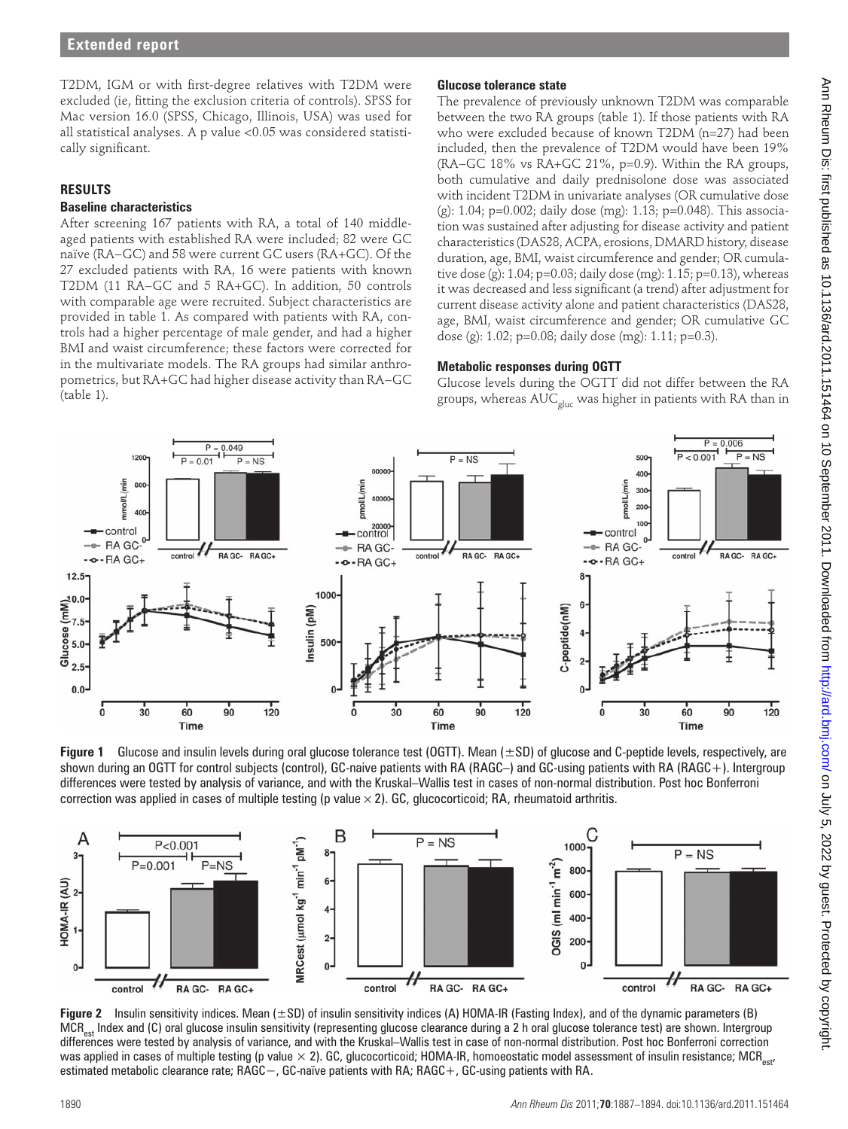T2DM, IGM or with first-degree relatives with T2DM were excluded (ie, fitting the exclusion criteria of controls). SPSS for Mac version 16.0 (SPSS, Chicago, Illinois, USA) was used for all statistical analyses. A p value <0.05 was considered statistically significant.

# **RESULTS**

# **Baseline characteristics**

After screening 167 patients with RA, a total of 140 middleaged patients with established RA were included; 82 were GC naïve (RA−GC) and 58 were current GC users (RA+GC). Of the 27 excluded patients with RA, 16 were patients with known T2DM (11 RA−GC and 5 RA+GC). In addition, 50 controls with comparable age were recruited. Subject characteristics are provided in table 1. As compared with patients with RA, controls had a higher percentage of male gender, and had a higher BMI and waist circumference; these factors were corrected for in the multivariate models. The RA groups had similar anthropometrics, but RA+GC had higher disease activity than RA−GC  $(table 1)$ .

# **Glucose tolerance state**

The prevalence of previously unknown T2DM was comparable between the two RA groups (table 1). If those patients with RA who were excluded because of known T2DM (n=27) had been included, then the prevalence of T2DM would have been 19% (RA−GC 18% vs RA+GC 21%, p=0.9). Within the RA groups, both cumulative and daily prednisolone dose was associated with incident T2DM in univariate analyses (OR cumulative dose (g): 1.04; p=0.002; daily dose (mg): 1.13; p=0.048). This association was sustained after adjusting for disease activity and patient characteristics (DAS28, ACPA, erosions, DMARD history, disease duration, age, BMI, waist circumference and gender; OR cumulative dose (g):  $1.04$ ;  $p=0.03$ ; daily dose (mg):  $1.15$ ;  $p=0.13$ ), whereas it was decreased and less significant (a trend) after adjustment for current disease activity alone and patient characteristics (DAS28, age, BMI, waist circumference and gender; OR cumulative GC dose (g): 1.02; p=0.08; daily dose (mg): 1.11; p=0.3).

# **Metabolic responses during OGTT**

Glucose levels during the OGTT did not differ between the RA groups, whereas  $\mathsf{AUC}_\mathsf{gluc}$  was higher in patients with RA than in



**Figure 1** Glucose and insulin levels during oral glucose tolerance test (OGTT). Mean (±SD) of glucose and C-peptide levels, respectively, are shown during an OGTT for control subjects (control), GC-naive patients with RA (RAGC–) and GC-using patients with RA (RAGC+). Intergroup differences were tested by analysis of variance, and with the Kruskal–Wallis test in cases of non-normal distribution. Post hoc Bonferroni correction was applied in cases of multiple testing (p value  $\times$  2). GC, glucocorticoid; RA, rheumatoid arthritis.



**Figure 2** Insulin sensitivity indices. Mean ( $\pm$ SD) of insulin sensitivity indices (A) HOMA-IR (Fasting Index), and of the dynamic parameters (B) MCR<sub>est</sub> Index and (C) oral glucose insulin sensitivity (representing glucose clearance during a 2 h oral glucose tolerance test) are shown. Intergroup differences were tested by analysis of variance, and with the Kruskal–Wallis test in case of non-normal distribution. Post hoc Bonferroni correction was applied in cases of multiple testing (p value  $\times$  2). GC, glucocorticoid; HOMA-IR, homoeostatic model assessment of insulin resistance; MCR<sub>est</sub>, estimated metabolic clearance rate; RAGC−, GC-naïve patients with RA; RAGC+, GC-using patients with RA.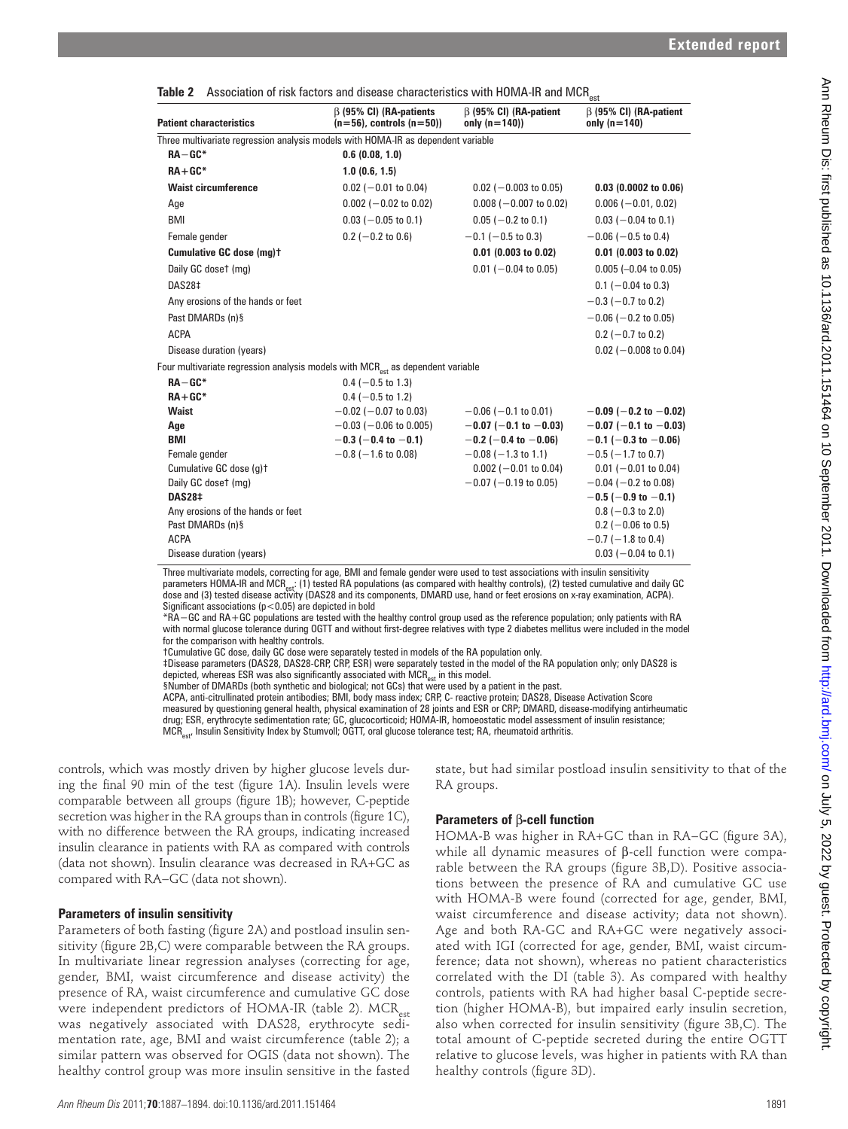| <b>Patient characteristics</b>                                                                                                                                                                                                                                                                                                                                                                                                                                                                                                                                                                                                                                                                                                                                                                                                                                                                                                                                                                                                              | $\beta$ (95% CI) (RA-patients<br>$(n=56)$ , controls $(n=50)$ ) | $\beta$ (95% CI) (RA-patient<br>only $(n=140)$     | $\beta$ (95% CI) (RA-patient<br>only $(n=140)$                                                                             |      |
|---------------------------------------------------------------------------------------------------------------------------------------------------------------------------------------------------------------------------------------------------------------------------------------------------------------------------------------------------------------------------------------------------------------------------------------------------------------------------------------------------------------------------------------------------------------------------------------------------------------------------------------------------------------------------------------------------------------------------------------------------------------------------------------------------------------------------------------------------------------------------------------------------------------------------------------------------------------------------------------------------------------------------------------------|-----------------------------------------------------------------|----------------------------------------------------|----------------------------------------------------------------------------------------------------------------------------|------|
| Three multivariate regression analysis models with HOMA-IR as dependent variable                                                                                                                                                                                                                                                                                                                                                                                                                                                                                                                                                                                                                                                                                                                                                                                                                                                                                                                                                            |                                                                 |                                                    |                                                                                                                            |      |
| $RA-GC*$                                                                                                                                                                                                                                                                                                                                                                                                                                                                                                                                                                                                                                                                                                                                                                                                                                                                                                                                                                                                                                    | 0.6(0.08, 1.0)                                                  |                                                    |                                                                                                                            |      |
| $RA+GC*$                                                                                                                                                                                                                                                                                                                                                                                                                                                                                                                                                                                                                                                                                                                                                                                                                                                                                                                                                                                                                                    | 1.0(0.6, 1.5)                                                   |                                                    |                                                                                                                            |      |
| <b>Waist circumference</b>                                                                                                                                                                                                                                                                                                                                                                                                                                                                                                                                                                                                                                                                                                                                                                                                                                                                                                                                                                                                                  | $0.02$ (-0.01 to 0.04)                                          | $0.02$ (-0.003 to 0.05)                            | $0.03$ (0.0002 to 0.06)                                                                                                    |      |
| Age                                                                                                                                                                                                                                                                                                                                                                                                                                                                                                                                                                                                                                                                                                                                                                                                                                                                                                                                                                                                                                         | $0.002$ (-0.02 to 0.02)                                         | $0.008$ (-0.007 to 0.02)                           | $0.006 (-0.01, 0.02)$                                                                                                      |      |
| <b>BMI</b>                                                                                                                                                                                                                                                                                                                                                                                                                                                                                                                                                                                                                                                                                                                                                                                                                                                                                                                                                                                                                                  | $0.03$ (-0.05 to 0.1)                                           | $0.05$ (-0.2 to 0.1)                               | $0.03$ (-0.04 to 0.1)                                                                                                      |      |
| Female gender                                                                                                                                                                                                                                                                                                                                                                                                                                                                                                                                                                                                                                                                                                                                                                                                                                                                                                                                                                                                                               | $0.2$ (-0.2 to 0.6)                                             | $-0.1$ ( $-0.5$ to 0.3)                            | $-0.06$ ( $-0.5$ to 0.4)                                                                                                   |      |
| Cumulative GC dose (mg)+                                                                                                                                                                                                                                                                                                                                                                                                                                                                                                                                                                                                                                                                                                                                                                                                                                                                                                                                                                                                                    |                                                                 | $0.01$ (0.003 to 0.02)                             | $0.01$ (0.003 to 0.02)                                                                                                     |      |
| Daily GC doset (mg)<br>DAS28‡                                                                                                                                                                                                                                                                                                                                                                                                                                                                                                                                                                                                                                                                                                                                                                                                                                                                                                                                                                                                               |                                                                 | $0.01$ (-0.04 to 0.05)                             | $0.005$ (-0.04 to 0.05)                                                                                                    |      |
| Any erosions of the hands or feet                                                                                                                                                                                                                                                                                                                                                                                                                                                                                                                                                                                                                                                                                                                                                                                                                                                                                                                                                                                                           |                                                                 |                                                    | $0.1$ (-0.04 to 0.3)<br>$-0.3$ ( $-0.7$ to 0.2)                                                                            |      |
| Past DMARDs (n)§                                                                                                                                                                                                                                                                                                                                                                                                                                                                                                                                                                                                                                                                                                                                                                                                                                                                                                                                                                                                                            |                                                                 |                                                    | $-0.06$ ( $-0.2$ to 0.05)                                                                                                  |      |
| <b>ACPA</b>                                                                                                                                                                                                                                                                                                                                                                                                                                                                                                                                                                                                                                                                                                                                                                                                                                                                                                                                                                                                                                 |                                                                 |                                                    | $0.2$ (-0.7 to 0.2)                                                                                                        |      |
| Disease duration (years)                                                                                                                                                                                                                                                                                                                                                                                                                                                                                                                                                                                                                                                                                                                                                                                                                                                                                                                                                                                                                    |                                                                 |                                                    | $0.02$ (-0.008 to 0.04)                                                                                                    |      |
| Four multivariate regression analysis models with $MCR_{\text{est}}$ as dependent variable                                                                                                                                                                                                                                                                                                                                                                                                                                                                                                                                                                                                                                                                                                                                                                                                                                                                                                                                                  |                                                                 |                                                    |                                                                                                                            |      |
| $RA-GC*$                                                                                                                                                                                                                                                                                                                                                                                                                                                                                                                                                                                                                                                                                                                                                                                                                                                                                                                                                                                                                                    | $0.4$ (-0.5 to 1.3)                                             |                                                    |                                                                                                                            |      |
| $RA+GC*$                                                                                                                                                                                                                                                                                                                                                                                                                                                                                                                                                                                                                                                                                                                                                                                                                                                                                                                                                                                                                                    | $0.4$ (-0.5 to 1.2)                                             |                                                    |                                                                                                                            |      |
| <b>Waist</b>                                                                                                                                                                                                                                                                                                                                                                                                                                                                                                                                                                                                                                                                                                                                                                                                                                                                                                                                                                                                                                | $-0.02$ ( $-0.07$ to 0.03)                                      | $-0.06$ ( $-0.1$ to 0.01)                          | $-0.09$ (-0.2 to -0.02)                                                                                                    |      |
| Age                                                                                                                                                                                                                                                                                                                                                                                                                                                                                                                                                                                                                                                                                                                                                                                                                                                                                                                                                                                                                                         | $-0.03$ ( $-0.06$ to 0.005)                                     | $-0.07$ (-0.1 to -0.03)                            | $-0.07$ (-0.1 to -0.03)                                                                                                    |      |
| BMI<br>Female gender                                                                                                                                                                                                                                                                                                                                                                                                                                                                                                                                                                                                                                                                                                                                                                                                                                                                                                                                                                                                                        | $-0.3$ (-0.4 to -0.1)<br>$-0.8$ ( $-1.6$ to 0.08)               | $-0.2$ (-0.4 to -0.06)<br>$-0.08$ ( $-1.3$ to 1.1) | $-0.1$ (-0.3 to -0.06)<br>$-0.5$ ( $-1.7$ to 0.7)                                                                          |      |
| Cumulative GC dose (g)t                                                                                                                                                                                                                                                                                                                                                                                                                                                                                                                                                                                                                                                                                                                                                                                                                                                                                                                                                                                                                     |                                                                 | $0.002$ (-0.01 to 0.04)                            | $0.01$ (-0.01 to 0.04)                                                                                                     |      |
| Daily GC doset (mg)                                                                                                                                                                                                                                                                                                                                                                                                                                                                                                                                                                                                                                                                                                                                                                                                                                                                                                                                                                                                                         |                                                                 | $-0.07$ ( $-0.19$ to 0.05)                         | $-0.04$ ( $-0.2$ to 0.08)                                                                                                  |      |
| <b>DAS28‡</b>                                                                                                                                                                                                                                                                                                                                                                                                                                                                                                                                                                                                                                                                                                                                                                                                                                                                                                                                                                                                                               |                                                                 |                                                    | $-0.5$ (-0.9 to -0.1)                                                                                                      |      |
| Any erosions of the hands or feet                                                                                                                                                                                                                                                                                                                                                                                                                                                                                                                                                                                                                                                                                                                                                                                                                                                                                                                                                                                                           |                                                                 |                                                    | $0.8$ (-0.3 to 2.0)                                                                                                        |      |
| Past DMARDs (n)§<br><b>ACPA</b>                                                                                                                                                                                                                                                                                                                                                                                                                                                                                                                                                                                                                                                                                                                                                                                                                                                                                                                                                                                                             |                                                                 |                                                    | $0.2$ (-0.06 to 0.5)                                                                                                       |      |
| Disease duration (years)                                                                                                                                                                                                                                                                                                                                                                                                                                                                                                                                                                                                                                                                                                                                                                                                                                                                                                                                                                                                                    |                                                                 |                                                    | $-0.7$ ( $-1.8$ to 0.4)<br>$0.03$ (-0.04 to 0.1)                                                                           |      |
| Three multivariate models, correcting for age, BMI and female gender were used to test associations with insulin sensitivity<br>parameters HOMA-IR and MCR <sub>est</sub> : (1) tested RA populations (as compared with healthy controls), (2) tested cumulative and daily GC<br>dose and (3) tested disease activity (DAS28 and its components, DMARD use, hand or feet erosions on x-ray examination, ACPA).<br>Significant associations ( $p < 0.05$ ) are depicted in bold<br>*RA - GC and RA+GC populations are tested with the healthy control group used as the reference population; only patients with RA<br>with normal glucose tolerance during OGTT and without first-degree relatives with type 2 diabetes mellitus were included in the model<br>for the comparison with healthy controls.<br>tCumulative GC dose, daily GC dose were separately tested in models of the RA population only.<br>‡Disease parameters (DAS28, DAS28-CRP, CRP, ESR) were separately tested in the model of the RA population only; only DAS28 is |                                                                 |                                                    |                                                                                                                            |      |
| depicted, whereas ESR was also significantly associated with MCR <sub>est</sub> in this model.<br>§Number of DMARDs (both synthetic and biological; not GCs) that were used by a patient in the past.<br>ACPA, anti-citrullinated protein antibodies; BMI, body mass index; CRP, C- reactive protein; DAS28, Disease Activation Score<br>measured by questioning general health, physical examination of 28 joints and ESR or CRP; DMARD, disease-modifying antirheumatic<br>drug; ESR, erythrocyte sedimentation rate; GC, glucocorticoid; HOMA-IR, homoeostatic model assessment of insulin resistance;<br>MCR <sub>est</sub> , Insulin Sensitivity Index by Stumvoll; OGTT, oral glucose tolerance test; RA, rheumatoid arthritis.                                                                                                                                                                                                                                                                                                       |                                                                 |                                                    |                                                                                                                            |      |
|                                                                                                                                                                                                                                                                                                                                                                                                                                                                                                                                                                                                                                                                                                                                                                                                                                                                                                                                                                                                                                             |                                                                 |                                                    |                                                                                                                            |      |
| controls, which was mostly driven by higher glucose levels dur-<br>ing the final 90 min of the test (figure 1A). Insulin levels were                                                                                                                                                                                                                                                                                                                                                                                                                                                                                                                                                                                                                                                                                                                                                                                                                                                                                                        |                                                                 | RA groups.                                         | state, but had similar postload insulin sensitivity to that of the                                                         |      |
| comparable between all groups (figure 1B); however, C-peptide                                                                                                                                                                                                                                                                                                                                                                                                                                                                                                                                                                                                                                                                                                                                                                                                                                                                                                                                                                               |                                                                 |                                                    |                                                                                                                            |      |
| secretion was higher in the RA groups than in controls (figure 1C),                                                                                                                                                                                                                                                                                                                                                                                                                                                                                                                                                                                                                                                                                                                                                                                                                                                                                                                                                                         |                                                                 | Parameters of $\beta$ -cell function               |                                                                                                                            |      |
| with no difference between the RA groups, indicating increased                                                                                                                                                                                                                                                                                                                                                                                                                                                                                                                                                                                                                                                                                                                                                                                                                                                                                                                                                                              |                                                                 |                                                    | HOMA-B was higher in RA+GC than in RA-GC (figure 3A),                                                                      |      |
| insulin clearance in patients with RA as compared with controls                                                                                                                                                                                                                                                                                                                                                                                                                                                                                                                                                                                                                                                                                                                                                                                                                                                                                                                                                                             |                                                                 |                                                    | while all dynamic measures of $\beta$ -cell function were compa-                                                           |      |
| (data not shown). Insulin clearance was decreased in RA+GC as                                                                                                                                                                                                                                                                                                                                                                                                                                                                                                                                                                                                                                                                                                                                                                                                                                                                                                                                                                               |                                                                 |                                                    | rable between the RA groups (figure 3B,D). Positive associa-                                                               |      |
| compared with RA-GC (data not shown).                                                                                                                                                                                                                                                                                                                                                                                                                                                                                                                                                                                                                                                                                                                                                                                                                                                                                                                                                                                                       |                                                                 |                                                    | tions between the presence of RA and cumulative GC use                                                                     |      |
|                                                                                                                                                                                                                                                                                                                                                                                                                                                                                                                                                                                                                                                                                                                                                                                                                                                                                                                                                                                                                                             |                                                                 |                                                    | with HOMA-B were found (corrected for age, gender, BMI,                                                                    |      |
| <b>Parameters of insulin sensitivity</b>                                                                                                                                                                                                                                                                                                                                                                                                                                                                                                                                                                                                                                                                                                                                                                                                                                                                                                                                                                                                    |                                                                 |                                                    | waist circumference and disease activity; data not shown).                                                                 |      |
| Parameters of both fasting (figure 2A) and postload insulin sen-                                                                                                                                                                                                                                                                                                                                                                                                                                                                                                                                                                                                                                                                                                                                                                                                                                                                                                                                                                            |                                                                 |                                                    | Age and both RA-GC and RA+GC were negatively associ-                                                                       |      |
| sitivity (figure 2B,C) were comparable between the RA groups.                                                                                                                                                                                                                                                                                                                                                                                                                                                                                                                                                                                                                                                                                                                                                                                                                                                                                                                                                                               |                                                                 |                                                    | ated with IGI (corrected for age, gender, BMI, waist circum-                                                               |      |
| In multivariate linear regression analyses (correcting for age,                                                                                                                                                                                                                                                                                                                                                                                                                                                                                                                                                                                                                                                                                                                                                                                                                                                                                                                                                                             |                                                                 |                                                    | ference; data not shown), whereas no patient characteristics                                                               |      |
| gender, BMI, waist circumference and disease activity) the<br>presence of RA, waist circumference and cumulative GC dose                                                                                                                                                                                                                                                                                                                                                                                                                                                                                                                                                                                                                                                                                                                                                                                                                                                                                                                    |                                                                 |                                                    | correlated with the DI (table 3). As compared with healthy<br>controls, patients with RA had higher basal C-peptide secre- |      |
| were independent predictors of HOMA-IR (table 2). MCR <sub>est</sub>                                                                                                                                                                                                                                                                                                                                                                                                                                                                                                                                                                                                                                                                                                                                                                                                                                                                                                                                                                        |                                                                 |                                                    | tion (higher HOMA-B), but impaired early insulin secretion,                                                                |      |
| was negatively associated with DAS28, erythrocyte sedi-                                                                                                                                                                                                                                                                                                                                                                                                                                                                                                                                                                                                                                                                                                                                                                                                                                                                                                                                                                                     |                                                                 |                                                    | also when corrected for insulin sensitivity (figure 3B,C). The                                                             |      |
| mentation rate, age, BMI and waist circumference (table 2); a                                                                                                                                                                                                                                                                                                                                                                                                                                                                                                                                                                                                                                                                                                                                                                                                                                                                                                                                                                               |                                                                 |                                                    | total amount of C-peptide secreted during the entire OGTT                                                                  |      |
| similar pattern was observed for OGIS (data not shown). The                                                                                                                                                                                                                                                                                                                                                                                                                                                                                                                                                                                                                                                                                                                                                                                                                                                                                                                                                                                 |                                                                 |                                                    | relative to glucose levels, was higher in patients with RA than                                                            |      |
| healthy control group was more insulin sensitive in the fasted                                                                                                                                                                                                                                                                                                                                                                                                                                                                                                                                                                                                                                                                                                                                                                                                                                                                                                                                                                              |                                                                 | healthy controls (figure 3D).                      |                                                                                                                            |      |
| Ann Rheum Dis 2011; 70:1887-1894. doi:10.1136/ard.2011.151464                                                                                                                                                                                                                                                                                                                                                                                                                                                                                                                                                                                                                                                                                                                                                                                                                                                                                                                                                                               |                                                                 |                                                    |                                                                                                                            | 1891 |

#### **Parameters of insulin sensitivity**

# **Parameters of** β**-cell function**

<sup>†</sup>Cumulative GC dose, daily GC dose were separately tested in models of the RA population only.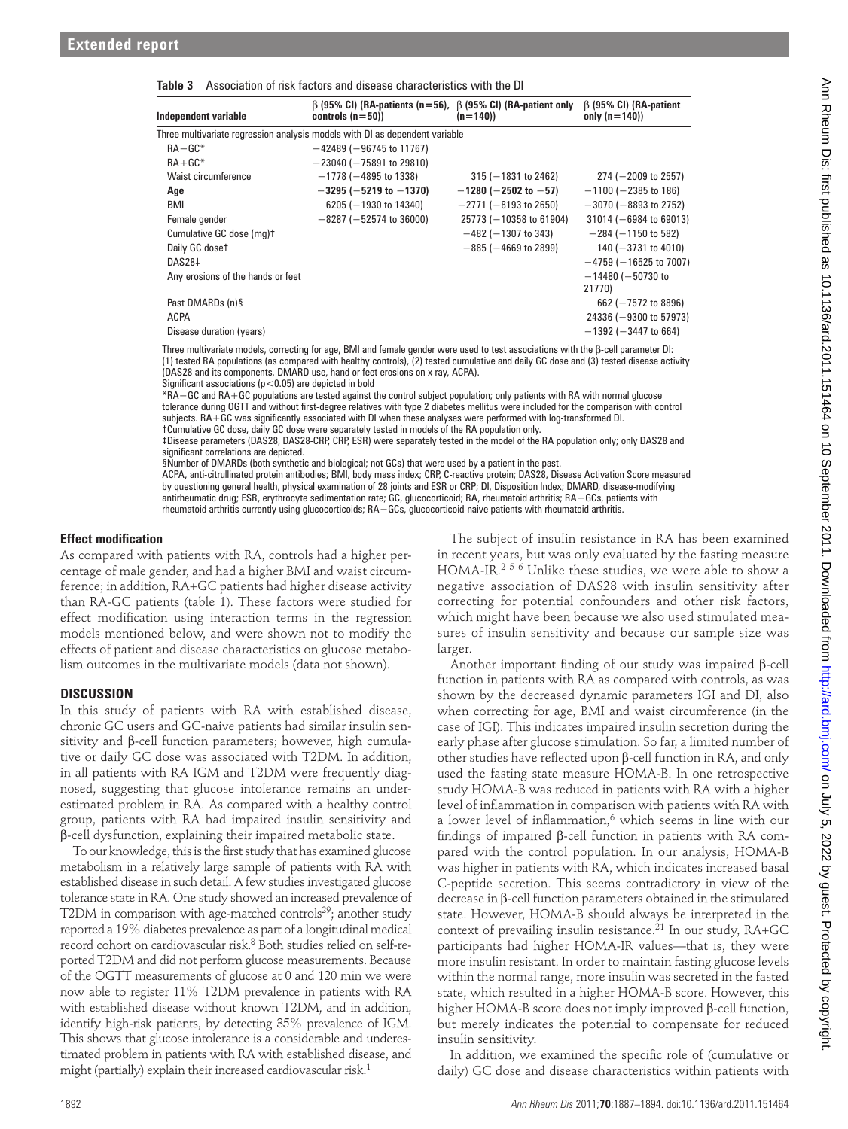|  |  |  |  |  | <b>Table 3</b> Association of risk factors and disease characteristics with the DI |  |
|--|--|--|--|--|------------------------------------------------------------------------------------|--|
|--|--|--|--|--|------------------------------------------------------------------------------------|--|

| Independent variable                                                        | $\beta$ (95% CI) (RA-patients (n=56), $\beta$ (95% CI) (RA-patient only<br>controls $(n=50)$ | $(n=140)$                  | $\beta$ (95% CI) (RA-patient<br>only $(n=140)$ |  |  |  |  |
|-----------------------------------------------------------------------------|----------------------------------------------------------------------------------------------|----------------------------|------------------------------------------------|--|--|--|--|
| Three multivariate regression analysis models with DI as dependent variable |                                                                                              |                            |                                                |  |  |  |  |
| $RA - GC^*$                                                                 | $-42489$ ( $-96745$ to 11767)                                                                |                            |                                                |  |  |  |  |
| $RA+GC*$                                                                    | $-23040$ ( $-75891$ to 29810)                                                                |                            |                                                |  |  |  |  |
| Waist circumference                                                         | $-1778$ ( $-4895$ to 1338)                                                                   | $315 (-1831$ to 2462)      | $274 (-2009$ to 2557)                          |  |  |  |  |
| Age                                                                         | $-3295$ (-5219 to -1370)                                                                     | $-1280$ (-2502 to -57)     | $-1100$ ( $-2385$ to 186)                      |  |  |  |  |
| <b>BMI</b>                                                                  | 6205 ( $-1930$ to 14340)                                                                     | $-2771$ ( $-8193$ to 2650) | $-3070$ ( $-8893$ to 2752)                     |  |  |  |  |
| Female gender                                                               | $-8287$ ( $-52574$ to 36000)                                                                 | $25773 (-10358$ to 61904)  | $31014 (-6984 to 69013)$                       |  |  |  |  |
| Cumulative GC dose (mg)t                                                    |                                                                                              | $-482$ ( $-1307$ to 343)   | $-284$ ( $-1150$ to 582)                       |  |  |  |  |
| Daily GC doset                                                              |                                                                                              | $-885$ ( $-4669$ to 2899)  | 140 ( $-3731$ to 4010)                         |  |  |  |  |
| DAS28‡                                                                      |                                                                                              |                            | $-4759$ ( $-16525$ to 7007)                    |  |  |  |  |
| Any erosions of the hands or feet                                           |                                                                                              |                            | $-14480$ ( $-50730$ to                         |  |  |  |  |
|                                                                             |                                                                                              |                            | 21770)                                         |  |  |  |  |
| Past DMARDs (n)§                                                            |                                                                                              |                            | 662 ( $-7572$ to 8896)                         |  |  |  |  |
| <b>ACPA</b>                                                                 |                                                                                              |                            | 24336 ( $-9300$ to 57973)                      |  |  |  |  |
| Disease duration (years)                                                    |                                                                                              |                            | $-1392$ ( $-3447$ to 664)                      |  |  |  |  |

Three multivariate models, correcting for age, BMI and female gender were used to test associations with the β-cell parameter DI: (1) tested RA populations (as compared with healthy controls), (2) tested cumulative and daily GC dose and (3) tested disease activity (DAS28 and its components, DMARD use, hand or feet erosions on x-ray, ACPA).

Significant associations ( $p < 0.05$ ) are depicted in bold

\*RA−GC and RA+GC populations are tested against the control subject population; only patients with RA with normal glucose tolerance during OGTT and without first-degree relatives with type 2 diabetes mellitus were included for the comparison with control

subjects. RA+GC was significantly associated with DI when these analyses were performed with log-transformed DI. †Cumulative GC dose, daily GC dose were separately tested in models of the RA population only.

‡Disease parameters (DAS28, DAS28-CRP, CRP, ESR) were separately tested in the model of the RA population only; only DAS28 and significant correlations are depicted.

§Number of DMARDs (both synthetic and biological; not GCs) that were used by a patient in the past.

ACPA, anti-citrullinated protein antibodies; BMI, body mass index; CRP, C-reactive protein; DAS28, Disease Activation Score measured by questioning general health, physical examination of 28 joints and ESR or CRP; DI, Disposition Index; DMARD, disease-modifying antirheumatic drug; ESR, erythrocyte sedimentation rate; GC, glucocorticoid; RA, rheumatoid arthritis; RA+GCs, patients with rheumatoid arthritis currently using glucocorticoids; RA−GCs, glucocorticoid-naive patients with rheumatoid arthritis.

## *<u>Effect</u>* modification

As compared with patients with RA, controls had a higher percentage of male gender, and had a higher BMI and waist circumference; in addition, RA+GC patients had higher disease activity than RA-GC patients (table 1). These factors were studied for effect modification using interaction terms in the regression models mentioned below, and were shown not to modify the effects of patient and disease characteristics on glucose metabolism outcomes in the multivariate models (data not shown).

## **DISCUSSION**

In this study of patients with RA with established disease, chronic GC users and GC-naive patients had similar insulin sensitivity and β-cell function parameters; however, high cumulative or daily GC dose was associated with T2DM. In addition, in all patients with RA IGM and T2DM were frequently diagnosed, suggesting that glucose intolerance remains an underestimated problem in RA. As compared with a healthy control group, patients with RA had impaired insulin sensitivity and β-cell dysfunction, explaining their impaired metabolic state.

To our knowledge, this is the first study that has examined glucose metabolism in a relatively large sample of patients with RA with established disease in such detail. A few studies investigated glucose tolerance state in RA. One study showed an increased prevalence of T2DM in comparison with age-matched controls $29$ ; another study reported a 19% diabetes prevalence as part of a longitudinal medical record cohort on cardiovascular risk. 8 Both studies relied on self-reported T2DM and did not perform glucose measurements. Because of the OGTT measurements of glucose at 0 and 120 min we were now able to register 11% T2DM prevalence in patients with RA with established disease without known T2DM, and in addition, identify high-risk patients, by detecting 35% prevalence of IGM. This shows that glucose intolerance is a considerable and underestimated problem in patients with RA with established disease, and might (partially) explain their increased cardiovascular risk. 1

The subject of insulin resistance in RA has been examined in recent years, but was only evaluated by the fasting measure  $HOMA-IR<sup>256</sup>$  Unlike these studies, we were able to show a negative association of DAS28 with insulin sensitivity after correcting for potential confounders and other risk factors, which might have been because we also used stimulated measures of insulin sensitivity and because our sample size was larger.

Another important finding of our study was impaired  $β$ -cell function in patients with RA as compared with controls, as was shown by the decreased dynamic parameters IGI and DI, also when correcting for age, BMI and waist circumference (in the case of IGI). This indicates impaired insulin secretion during the early phase after glucose stimulation. So far, a limited number of other studies have reflected upon  $β$ -cell function in RA, and only used the fasting state measure HOMA-B. In one retrospective study HOMA-B was reduced in patients with RA with a higher level of inflammation in comparison with patients with RA with a lower level of inflammation,<sup>6</sup> which seems in line with our findings of impaired β-cell function in patients with RA compared with the control population. In our analysis, HOMA-B was higher in patients with RA, which indicates increased basal C-peptide secretion. This seems contradictory in view of the decrease in β-cell function parameters obtained in the stimulated state. However, HOMA-B should always be interpreted in the context of prevailing insulin resistance.<sup>21</sup> In our study,  $RA+GC$ participants had higher HOMA-IR values—that is, they were more insulin resistant. In order to maintain fasting glucose levels within the normal range, more insulin was secreted in the fasted state, which resulted in a higher HOMA-B score. However, this higher HOMA-B score does not imply improved β-cell function, but merely indicates the potential to compensate for reduced insulin sensitivity. **332.** Straite the three ones in the straite of the straite of the straite of the straite of the straite of the straite of the straite of the straite of the straite of the straite of the straite of the straite of the stra

In addition, we examined the specific role of (cumulative or daily) GC dose and disease characteristics within patients with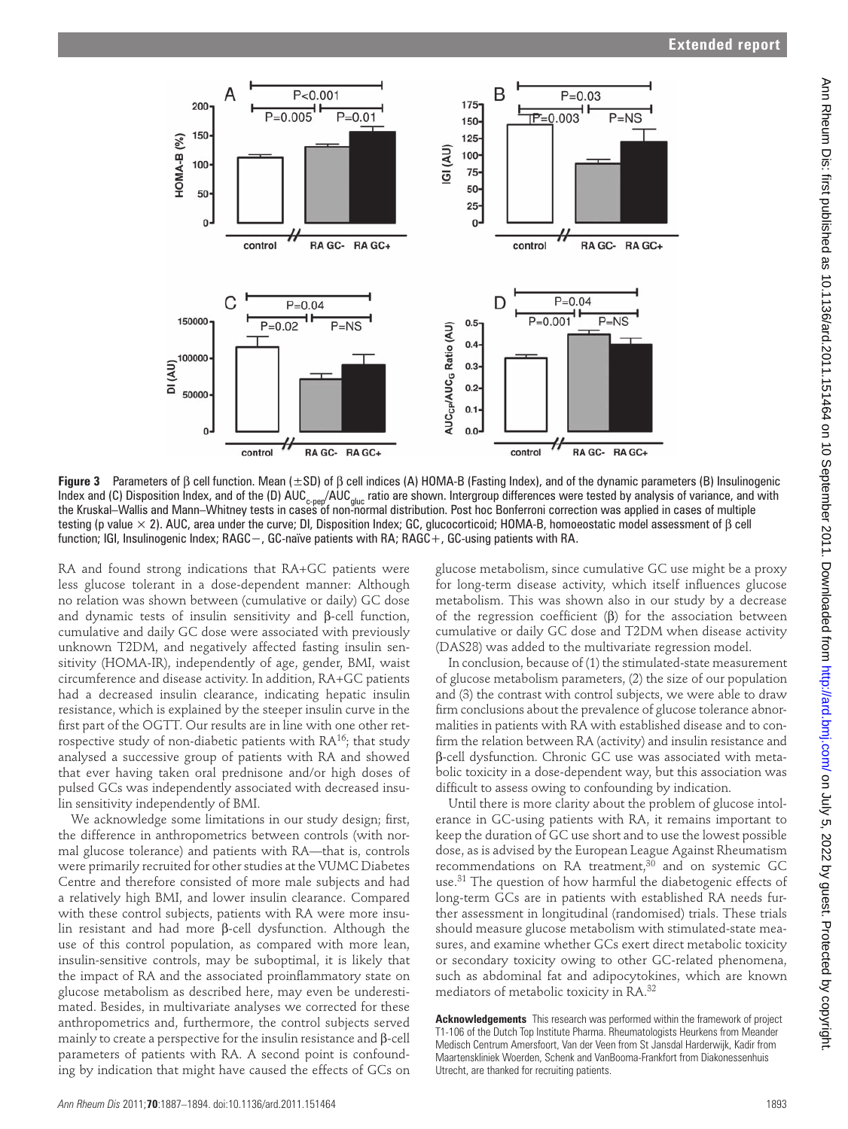

 **Figure 3** Parameters of β cell function. Mean (±SD) of β cell indices (A) HOMA-B (Fasting Index), and of the dynamic parameters (B) Insulinogenic Index and (C) Disposition Index, and of the (D)  $AUC_{c\text{-per}}/AUC_{uluc}$  ratio are shown. Intergroup differences were tested by analysis of variance, and with the Kruskal–Wallis and Mann–Whitney tests in cases of non-normal distribution. Post hoc Bonferroni correction was applied in cases of multiple testing (p value × 2). AUC, area under the curve; DI, Disposition Index; GC, glucocorticoid; HOMA-B, homoeostatic model assessment of β cell function; IGI, Insulinogenic Index; RAGC−, GC-naïve patients with RA; RAGC+, GC-using patients with RA.

RA and found strong indications that RA+GC patients were less glucose tolerant in a dose-dependent manner: Although no relation was shown between (cumulative or daily) GC dose and dynamic tests of insulin sensitivity and β-cell function, cumulative and daily GC dose were associated with previously unknown T2DM, and negatively affected fasting insulin sensitivity (HOMA-IR), independently of age, gender, BMI, waist circumference and disease activity. In addition, RA+GC patients had a decreased insulin clearance, indicating hepatic insulin resistance, which is explained by the steeper insulin curve in the first part of the OGTT. Our results are in line with one other retrospective study of non-diabetic patients with  $RA^{16}$ ; that study analysed a successive group of patients with RA and showed that ever having taken oral prednisone and/or high doses of pulsed GCs was independently associated with decreased insulin sensitivity independently of BMI.

We acknowledge some limitations in our study design; first, the difference in anthropometrics between controls (with normal glucose tolerance) and patients with RA—that is, controls were primarily recruited for other studies at the VUMC Diabetes Centre and therefore consisted of more male subjects and had a relatively high BMI, and lower insulin clearance. Compared with these control subjects, patients with RA were more insulin resistant and had more β-cell dysfunction. Although the use of this control population, as compared with more lean, insulin-sensitive controls, may be suboptimal, it is likely that the impact of RA and the associated proinflammatory state on glucose metabolism as described here, may even be underestimated. Besides, in multivariate analyses we corrected for these anthropometrics and, furthermore, the control subjects served mainly to create a perspective for the insulin resistance and β-cell parameters of patients with RA. A second point is confounding by indication that might have caused the effects of GCs on glucose metabolism, since cumulative GC use might be a proxy for long-term disease activity, which itself influences glucose metabolism. This was shown also in our study by a decrease of the regression coefficient  $(\beta)$  for the association between cumulative or daily GC dose and T2DM when disease activity (DAS28) was added to the multivariate regression model.

In conclusion, because of (1) the stimulated-state measurement of glucose metabolism parameters, (2) the size of our population and (3) the contrast with control subjects, we were able to draw firm conclusions about the prevalence of glucose tolerance abnormalities in patients with RA with established disease and to confirm the relation between RA (activity) and insulin resistance and β-cell dysfunction. Chronic GC use was associated with metabolic toxicity in a dose-dependent way, but this association was difficult to assess owing to confounding by indication.

Until there is more clarity about the problem of glucose intolerance in GC-using patients with RA, it remains important to keep the duration of GC use short and to use the lowest possible dose, as is advised by the European League Against Rheumatism recommendations on RA treatment, $30$  and on systemic GC use.<sup>31</sup> The question of how harmful the diabetogenic effects of long-term GCs are in patients with established RA needs further assessment in longitudinal (randomised) trials. These trials should measure glucose metabolism with stimulated-state measures, and examine whether GCs exert direct metabolic toxicity or secondary toxicity owing to other GC-related phenomena, such as abdominal fat and adipocytokines, which are known mediators of metabolic toxicity in RA. 32

 **Acknowledgements** This research was performed within the framework of project T1-106 of the Dutch Top Institute Pharma. Rheumatologists Heurkens from Meander Medisch Centrum Amersfoort, Van der Veen from St Jansdal Harderwijk, Kadir from Maartenskliniek Woerden, Schenk and VanBooma-Frankfort from Diakonessenhuis Utrecht, are thanked for recruiting patients.